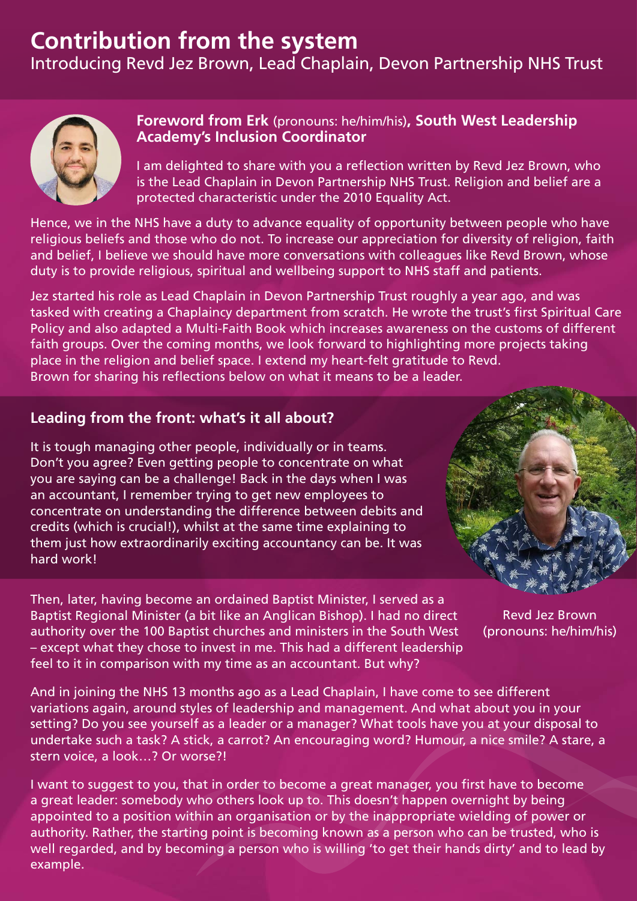## **Contribution from the system**

Introducing Revd Jez Brown, Lead Chaplain, Devon Partnership NHS Trust



## **Foreword from Erk** (pronouns: he/him/his)**, South West Leadership Academy's Inclusion Coordinator**

I am delighted to share with you a reflection written by Revd Jez Brown, who is the Lead Chaplain in Devon Partnership NHS Trust. Religion and belief are a protected characteristic under the 2010 Equality Act.

Hence, we in the NHS have a duty to advance equality of opportunity between people who have religious beliefs and those who do not. To increase our appreciation for diversity of religion, faith and belief, I believe we should have more conversations with colleagues like Revd Brown, whose duty is to provide religious, spiritual and wellbeing support to NHS staff and patients.

Jez started his role as Lead Chaplain in Devon Partnership Trust roughly a year ago, and was tasked with creating a Chaplaincy department from scratch. He wrote the trust's first Spiritual Care Policy and also adapted a Multi-Faith Book which increases awareness on the customs of different faith groups. Over the coming months, we look forward to highlighting more projects taking place in the religion and belief space. I extend my heart-felt gratitude to Revd. Brown for sharing his reflections below on what it means to be a leader.

## **Leading from the front: what's it all about?**

It is tough managing other people, individually or in teams. Don't you agree? Even getting people to concentrate on what you are saying can be a challenge! Back in the days when I was an accountant, I remember trying to get new employees to concentrate on understanding the difference between debits and credits (which is crucial!), whilst at the same time explaining to them just how extraordinarily exciting accountancy can be. It was hard work!

Then, later, having become an ordained Baptist Minister, I served as a Baptist Regional Minister (a bit like an Anglican Bishop). I had no direct authority over the 100 Baptist churches and ministers in the South West – except what they chose to invest in me. This had a different leadership feel to it in comparison with my time as an accountant. But why?



Revd Jez Brown (pronouns: he/him/his)

And in joining the NHS 13 months ago as a Lead Chaplain, I have come to see different variations again, around styles of leadership and management. And what about you in your setting? Do you see yourself as a leader or a manager? What tools have you at your disposal to undertake such a task? A stick, a carrot? An encouraging word? Humour, a nice smile? A stare, a stern voice, a look…? Or worse?!

I want to suggest to you, that in order to become a great manager, you first have to become a great leader: somebody who others look up to. This doesn't happen overnight by being appointed to a position within an organisation or by the inappropriate wielding of power or authority. Rather, the starting point is becoming known as a person who can be trusted, who is well regarded, and by becoming a person who is willing 'to get their hands dirty' and to lead by example.